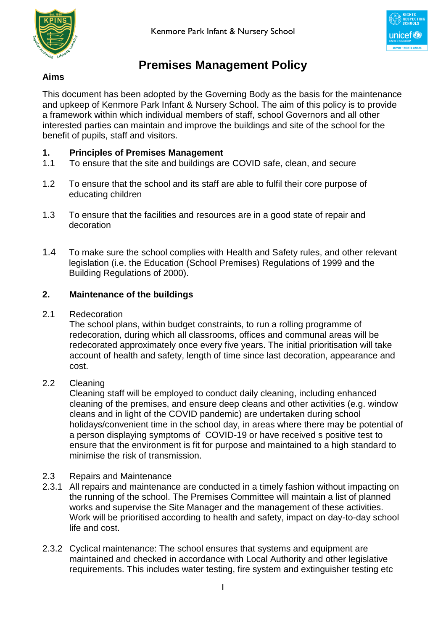



# **Premises Management Policy**

# **Aims**

This document has been adopted by the Governing Body as the basis for the maintenance and upkeep of Kenmore Park Infant & Nursery School. The aim of this policy is to provide a framework within which individual members of staff, school Governors and all other interested parties can maintain and improve the buildings and site of the school for the benefit of pupils, staff and visitors.

# **1. Principles of Premises Management**

- 1.1 To ensure that the site and buildings are COVID safe, clean, and secure
- 1.2 To ensure that the school and its staff are able to fulfil their core purpose of educating children
- 1.3 To ensure that the facilities and resources are in a good state of repair and decoration
- 1.4 To make sure the school complies with Health and Safety rules, and other relevant legislation (i.e. the Education (School Premises) Regulations of 1999 and the Building Regulations of 2000).

# **2. Maintenance of the buildings**

2.1 Redecoration

The school plans, within budget constraints, to run a rolling programme of redecoration, during which all classrooms, offices and communal areas will be redecorated approximately once every five years. The initial prioritisation will take account of health and safety, length of time since last decoration, appearance and cost.

2.2 Cleaning

Cleaning staff will be employed to conduct daily cleaning, including enhanced cleaning of the premises, and ensure deep cleans and other activities (e.g. window cleans and in light of the COVID pandemic) are undertaken during school holidays/convenient time in the school day, in areas where there may be potential of a person displaying symptoms of COVID-19 or have received s positive test to ensure that the environment is fit for purpose and maintained to a high standard to minimise the risk of transmission.

- 2.3 Repairs and Maintenance
- 2.3.1 All repairs and maintenance are conducted in a timely fashion without impacting on the running of the school. The Premises Committee will maintain a list of planned works and supervise the Site Manager and the management of these activities. Work will be prioritised according to health and safety, impact on day-to-day school life and cost.
- 2.3.2 Cyclical maintenance: The school ensures that systems and equipment are maintained and checked in accordance with Local Authority and other legislative requirements. This includes water testing, fire system and extinguisher testing etc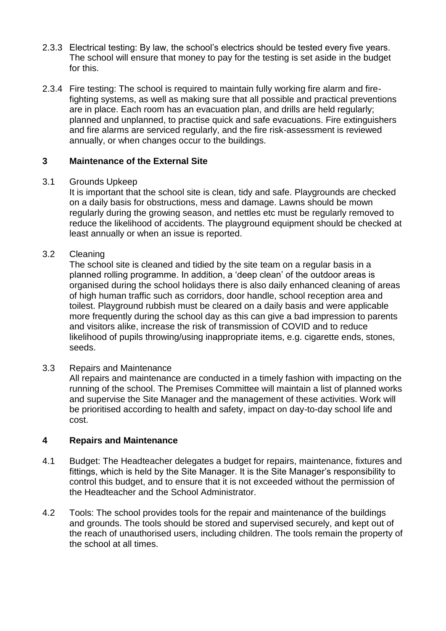- 2.3.3 Electrical testing: By law, the school's electrics should be tested every five years. The school will ensure that money to pay for the testing is set aside in the budget for this.
- 2.3.4 Fire testing: The school is required to maintain fully working fire alarm and firefighting systems, as well as making sure that all possible and practical preventions are in place. Each room has an evacuation plan, and drills are held regularly; planned and unplanned, to practise quick and safe evacuations. Fire extinguishers and fire alarms are serviced regularly, and the fire risk-assessment is reviewed annually, or when changes occur to the buildings.

#### **3 Maintenance of the External Site**

#### 3.1 Grounds Upkeep

It is important that the school site is clean, tidy and safe. Playgrounds are checked on a daily basis for obstructions, mess and damage. Lawns should be mown regularly during the growing season, and nettles etc must be regularly removed to reduce the likelihood of accidents. The playground equipment should be checked at least annually or when an issue is reported.

#### 3.2 Cleaning

The school site is cleaned and tidied by the site team on a regular basis in a planned rolling programme. In addition, a 'deep clean' of the outdoor areas is organised during the school holidays there is also daily enhanced cleaning of areas of high human traffic such as corridors, door handle, school reception area and toilest. Playground rubbish must be cleared on a daily basis and were applicable more frequently during the school day as this can give a bad impression to parents and visitors alike, increase the risk of transmission of COVID and to reduce likelihood of pupils throwing/using inappropriate items, e.g. cigarette ends, stones, seeds.

#### 3.3 Repairs and Maintenance

All repairs and maintenance are conducted in a timely fashion with impacting on the running of the school. The Premises Committee will maintain a list of planned works and supervise the Site Manager and the management of these activities. Work will be prioritised according to health and safety, impact on day-to-day school life and cost.

#### **4 Repairs and Maintenance**

- 4.1 Budget: The Headteacher delegates a budget for repairs, maintenance, fixtures and fittings, which is held by the Site Manager. It is the Site Manager's responsibility to control this budget, and to ensure that it is not exceeded without the permission of the Headteacher and the School Administrator.
- 4.2 Tools: The school provides tools for the repair and maintenance of the buildings and grounds. The tools should be stored and supervised securely, and kept out of the reach of unauthorised users, including children. The tools remain the property of the school at all times.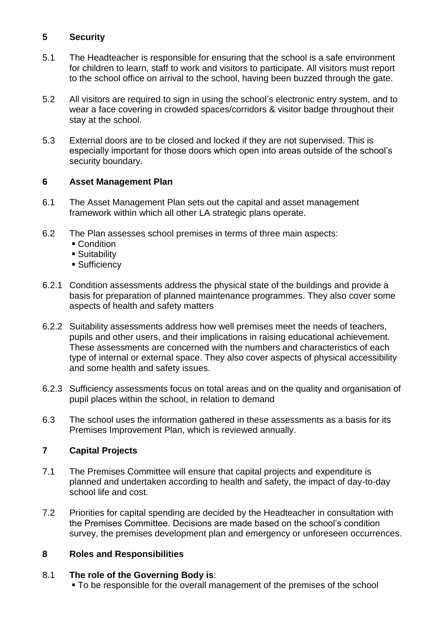### **5 Security**

- 5.1 The Headteacher is responsible for ensuring that the school is a safe environment for children to learn, staff to work and visitors to participate. All visitors must report to the school office on arrival to the school, having been buzzed through the gate.
- 5.2 All visitors are required to sign in using the school's electronic entry system, and to wear a face covering in crowded spaces/corridors & visitor badge throughout their stay at the school.
- 5.3 External doors are to be closed and locked if they are not supervised. This is especially important for those doors which open into areas outside of the school's security boundary.

#### **6 Asset Management Plan**

- 6.1 The Asset Management Plan sets out the capital and asset management framework within which all other LA strategic plans operate.
- 6.2 The Plan assesses school premises in terms of three main aspects:
	- Condition
	- **Suitability**
	- **Sufficiency**
- 6.2.1 Condition assessments address the physical state of the buildings and provide a basis for preparation of planned maintenance programmes. They also cover some aspects of health and safety matters
- 6.2.2 Suitability assessments address how well premises meet the needs of teachers, pupils and other users, and their implications in raising educational achievement. These assessments are concerned with the numbers and characteristics of each type of internal or external space. They also cover aspects of physical accessibility and some health and safety issues.
- 6.2.3 Sufficiency assessments focus on total areas and on the quality and organisation of pupil places within the school, in relation to demand
- 6.3 The school uses the information gathered in these assessments as a basis for its Premises Improvement Plan, which is reviewed annually.

# **7 Capital Projects**

- 7.1 The Premises Committee will ensure that capital projects and expenditure is planned and undertaken according to health and safety, the impact of day-to-day school life and cost.
- 7.2 Priorities for capital spending are decided by the Headteacher in consultation with the Premises Committee. Decisions are made based on the school's condition survey, the premises development plan and emergency or unforeseen occurrences.

# **8 Roles and Responsibilities**

# 8.1 **The role of the Governing Body is**:

To be responsible for the overall management of the premises of the school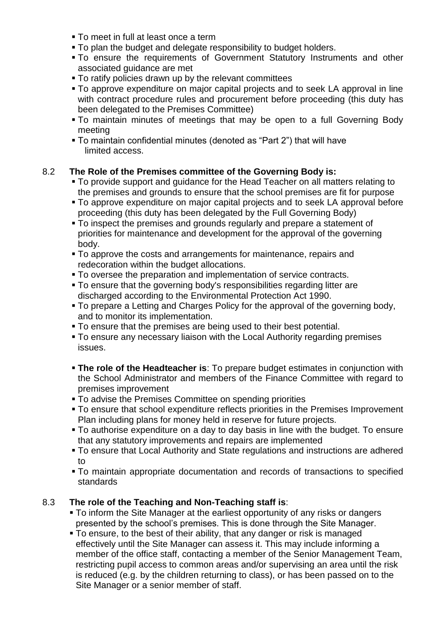- **To meet in full at least once a term**
- To plan the budget and delegate responsibility to budget holders.
- To ensure the requirements of Government Statutory Instruments and other associated guidance are met
- To ratify policies drawn up by the relevant committees
- To approve expenditure on major capital projects and to seek LA approval in line with contract procedure rules and procurement before proceeding (this duty has been delegated to the Premises Committee)
- To maintain minutes of meetings that may be open to a full Governing Body meeting
- To maintain confidential minutes (denoted as "Part 2") that will have limited access.

# 8.2 **The Role of the Premises committee of the Governing Body is:**

- To provide support and guidance for the Head Teacher on all matters relating to the premises and grounds to ensure that the school premises are fit for purpose
- To approve expenditure on major capital projects and to seek LA approval before proceeding (this duty has been delegated by the Full Governing Body)
- To inspect the premises and grounds regularly and prepare a statement of priorities for maintenance and development for the approval of the governing body.
- To approve the costs and arrangements for maintenance, repairs and redecoration within the budget allocations.
- To oversee the preparation and implementation of service contracts.
- To ensure that the governing body's responsibilities regarding litter are discharged according to the Environmental Protection Act 1990.
- To prepare a Letting and Charges Policy for the approval of the governing body, and to monitor its implementation.
- To ensure that the premises are being used to their best potential.
- To ensure any necessary liaison with the Local Authority regarding premises issues.
- **The role of the Headteacher is**: To prepare budget estimates in conjunction with the School Administrator and members of the Finance Committee with regard to premises improvement
- $\overline{\phantom{a}}$  To advise the Premises Committee on spending priorities
- To ensure that school expenditure reflects priorities in the Premises Improvement Plan including plans for money held in reserve for future projects.
- To authorise expenditure on a day to day basis in line with the budget. To ensure that any statutory improvements and repairs are implemented
- To ensure that Local Authority and State regulations and instructions are adhered to
- To maintain appropriate documentation and records of transactions to specified standards

# 8.3 **The role of the Teaching and Non-Teaching staff is**:

- To inform the Site Manager at the earliest opportunity of any risks or dangers presented by the school's premises. This is done through the Site Manager.
- To ensure, to the best of their ability, that any danger or risk is managed effectively until the Site Manager can assess it. This may include informing a member of the office staff, contacting a member of the Senior Management Team, restricting pupil access to common areas and/or supervising an area until the risk is reduced (e.g. by the children returning to class), or has been passed on to the Site Manager or a senior member of staff.